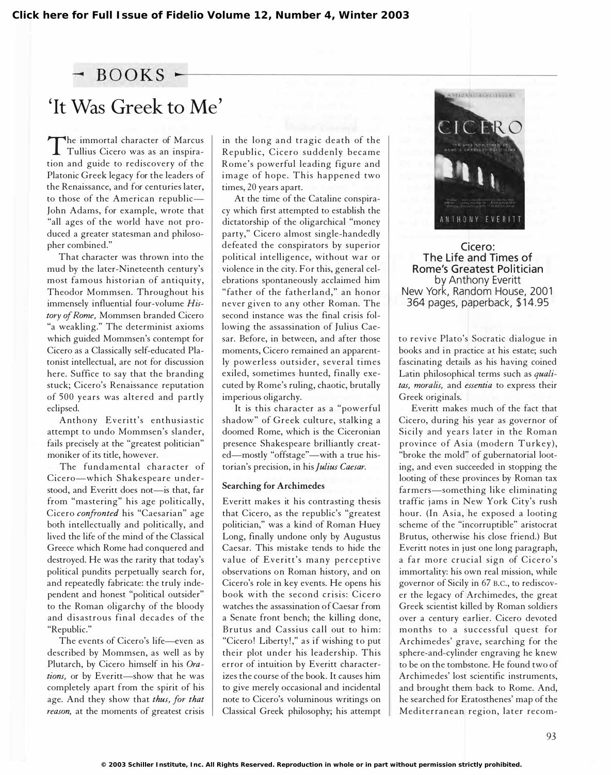## $-$  BOOKS  $\cdot$

# ' It Was Greek to Me'

The infinition and guide to rediscovery of the<br>tion and guide to rediscovery of the he immortal character of Marcus Tullius Cicero was as an inspira-Platonic Greek legacy for the leaders of the Renaissance, and for centuries later, to those of the American republic-John Adams, for example, wrote that "all ages of the world have not produced a greater statesman and philosopher combined."

That character was thrown into the mud by the later-Nineteenth century's most famous historian of antiquity, Theodor Mommsen. Throughout his immensely influential four-volume History of Rome, Mommsen branded Cicero "a weakling." The determinist axioms which guided Mommsen's contempt for Cicero as a Classically self-educated Platonist intellectual, are not for discussion here. Suffice to say that the branding stuck; Cicero's Renaissance reputation of 500 years was altered and partly eclipsed.

Anthony Everitt's enthusiastic attempt to undo Mommsen's slander, fails precisely at the "greatest politician" moniker of its title, however.

The fundamental character of Cicero-which Shakespeare understood, and Everitt does not-is that, far from "mastering" his age politically, Cicero confronted his "Caesarian" age both intellectually and politically, and lived the life of the mind of the Classical Greece which Rome had conquered and destroyed. He was the rarity that today's political pundits perpetually search for, and repeatedly fabricate: the truly independent and honest "political outsider" to the Roman oligarchy of the bloody and disastrous final decades of the "Republic."

The events of Cicero's life--even as described by Mommsen, as well as by Plutarch, by Cicero himself in his Orations, or by Everitt-show that he was completely apart from the spirit of his age. And they show that thus, for that reason, at the moments of greatest crisis in the long and tragic dea th of the Republic, Cicero suddenly became Rome's powerful leading figure and image of hope. This happened two times, 20 years apart.

At the time of the Cataline conspiracy which first attempted to establish the dictatorship of the oligarchical "money party," Cicero almost single-handedly defeated the conspirators by superior political intelligence, without war or violence in the city. For this, general celebrations spontaneously acclaimed him " father of the fatherland," an honor never given to any other Roman. The second instance was the final crisis following the assassination of Julius Caesar. Before, in between, and after those moments, Cicero remained an apparently powerless outsider, several times exiled, sometimes hunted, finally executed by Rome's ruling, chaotic, brutally imperious oligarchy.

It is this character as a "powerful shadow" of Greek culture, stalking a doomed Rome, which is the Ciceronian presence Shakespeare brilliantly created-mostly "offstage"-with a true historian's precision, in his Julius Caesar.

### Searching for Archimedes

Everitt makes it his contrasting thesis that Cicero, as the republic's "greatest politician," was a kind of Roman Huey Long, finally undone only by Augustus Caesar. This mistake tends to hide the value of Everitt's many perceptive observations on Roman history, and on Cicero's role in key events. He opens his book with the second crisis: Cicero watches the assassination of Caesar from a Senate front bench; the killing done, Brutus and Cassius call out to him: "Cicero! Liberty!," as if wishing to put their plot under his leadership. This error of intuition by Everitt characterizes the course of the book. It causes him to give merely occasional and incidental note to Cicero's voluminous writings on Classical Greek philosophy; his attempt



Cicero: The Life and Times of Rome's Greatest Politician by Anthony Everitt New York, Random House, 2001 364 pages, paperback, \$ 1 4.95

to revive Plato's Socratic dialogue in books and in practice at his estate; such fascinating details as his having coined Latin philosophical terms such as qualitas, moralis, and essentia to express their Greek originals.

Everitt makes much of the fact that Cicero, during his year as governor of Sicily and years later in the Roman province of Asia (modern Turkey), "broke the mold" of gubernatorial looting, and even succeeded in stopping the looting of these provinces by Roman tax farmers-something like eliminating traffic jams in New York City's rush hour. (In Asia, he exposed a looting scheme of the "incorruptible" aristocrat Brutus, otherwise his close friend.) But Everitt notes in just one long paragraph, a far more crucial sign of Cicero's immortality: his own real mission, while governor of Sicily in 67 B.C., to rediscover the legacy of Archimedes, the great Greek scientist killed by Roman soldiers over a century earlier. Cicero devoted months to a successful quest for Archimedes' grave, searching for the sphere-and-cylinder engraving he knew to be on the tombstone. He found two of Archimedes' lost scientific instruments, and brought them back to Rome. And, he searched for Eratosthenes' map of the Mediterranean region, later recom